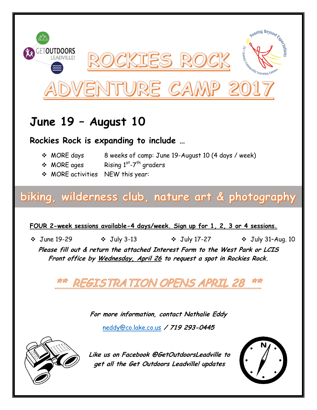

## **June 19 – August 10**

**Rockies Rock is expanding to include …**

- MORE days 8 weeks of camp: June 19-August 10 (4 days / week)
- $\div$  MORE ages -7<sup>th</sup> graders
- MORE activities NEW this year:

## biking, wilderness club, nature art & photography

**FOUR 2-week sessions available-4 days/week. Sign up for 1, 2, 3 or 4 sessions.**

 $\div$  June 19-29  $\div$  July 3-13  $\div$  July 17-27  $\div$  July 31-Aug. 10

**Please fill out & return the attached Interest Form to the West Park or LCIS Front office by Wednesday, April 26 to request a spot in Rockies Rock.**

REGISTRATION OPENS APRIL 28

**For more information, contact Nathalie Eddy**

[neddy@co.lake.co.us](mailto:neddy@co.lake.co.us) **/ 719 293-0445**



**Like us on Facebook @GetOutdoorsLeadville to get all the Get Outdoors Leadville! updates**